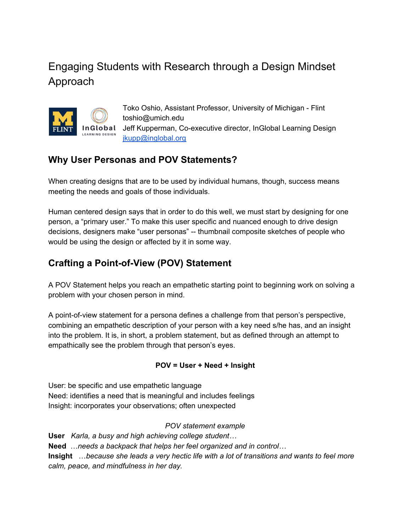# Engaging Students with Research through a Design Mindset Approach



Toko Oshio, Assistant Professor, University of Michigan - Flint toshio@umich.edu Jeff Kupperman, Co-executive director, InGlobal Learning Design [jkupp@inglobal.org](mailto:jkupp@inglobal.org)

## **Why User Personas and POV Statements?**

When creating designs that are to be used by individual humans, though, success means meeting the needs and goals of those individuals.

Human centered design says that in order to do this well, we must start by designing for one person, a "primary user." To make this user specific and nuanced enough to drive design decisions, designers make "user personas" -- thumbnail composite sketches of people who would be using the design or affected by it in some way.

## **Crafting a Point-of-View (POV) Statement**

A POV Statement helps you reach an empathetic starting point to beginning work on solving a problem with your chosen person in mind.

A point-of-view statement for a persona defines a challenge from that person's perspective, combining an empathetic description of your person with a key need s/he has, and an insight into the problem. It is, in short, a problem statement, but as defined through an attempt to empathically see the problem through that person's eyes.

### **POV = User + Need + Insight**

User: be specific and use empathetic language Need: identifies a need that is meaningful and includes feelings Insight: incorporates your observations; often unexpected

*POV statement example*

**User** *Karla, a busy and high achieving college student…* **Need** …*needs a backpack that helps her feel organized and in control…* **Insight** …*because she leads a very hectic life with a lot of transitions and wants to feel more calm, peace, and mindfulness in her day.*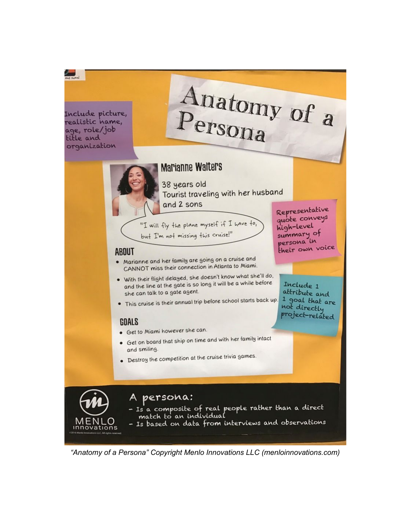Include picture, realistic hame, age, role/job title and organization

 $\frac{1}{\sqrt{2}}$ 

# Anatomy of a

quote conveys

high-level summary of

persona in their own voice

Include 1 altribute and

1 goal that are not directly project-related

# **Marianne Walters**

38 years old Tourist traveling with her husband and 2 sons Representative

"I will fly the plane myself if I have to, but I'm not missing this cruise!"

## **ABOUT**

- . Marianne and her family are going on a cruise and CANNOT miss their connection in Atlanta to Miami.
- . With their flight delayed, she doesn't know what she'll do, and the line at the gate is so long it will be a while before she can talk to a gate agent.
- This cruise is their annual trip before school starts back up.

### GOALS

- · Get to Miami however she can.
- Get on board that ship on time and with her family intact and smiling.
- Destroy the competition at the cruise trivia games.



"Anatomy of a Persona" Copyright Menlo Innovations LLC (menloinnovations.com)